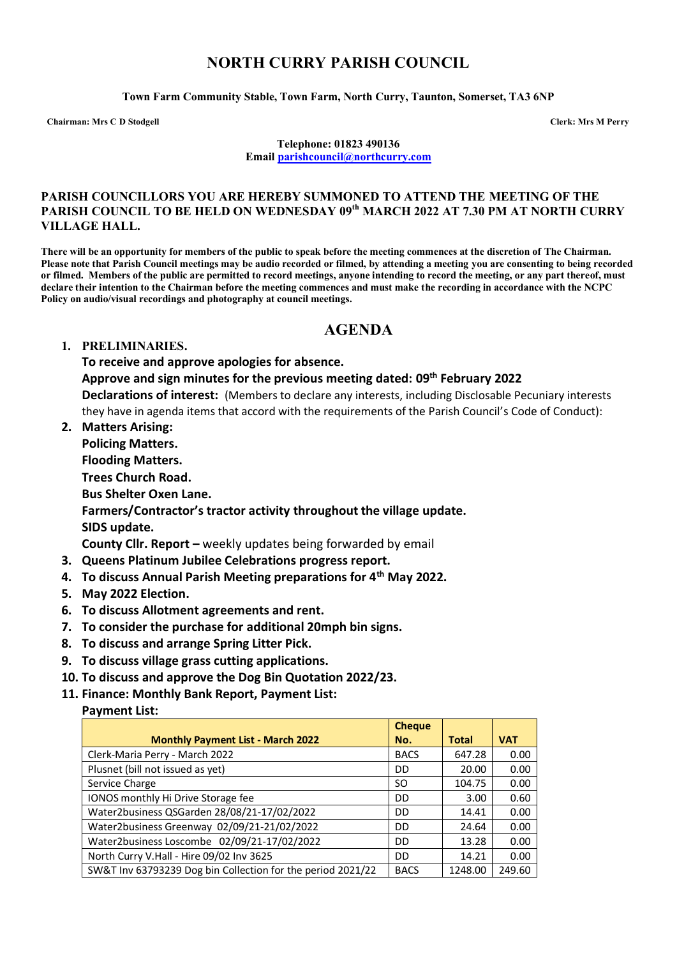# **NORTH CURRY PARISH COUNCIL**

**Town Farm Community Stable, Town Farm, North Curry, Taunton, Somerset, TA3 6NP**

**Chairman: Mrs C D Stodgell Clerk: Mrs M Perry**

**Telephone: 01823 490136 Email [parishcouncil@northcurry.com](mailto:parishcouncil@northcurry.com)**

#### **PARISH COUNCILLORS YOU ARE HEREBY SUMMONED TO ATTEND THE MEETING OF THE PARISH COUNCIL TO BE HELD ON WEDNESDAY 09th MARCH 2022 AT 7.30 PM AT NORTH CURRY VILLAGE HALL.**

**There will be an opportunity for members of the public to speak before the meeting commences at the discretion of The Chairman. Please note that Parish Council meetings may be audio recorded or filmed, by attending a meeting you are consenting to being recorded or filmed. Members of the public are permitted to record meetings, anyone intending to record the meeting, or any part thereof, must declare their intention to the Chairman before the meeting commences and must make the recording in accordance with the NCPC Policy on audio/visual recordings and photography at council meetings.** 

## **AGENDA**

#### **1. PRELIMINARIES.**

**To receive and approve apologies for absence.**

**Approve and sign minutes for the previous meeting dated: 09th February 2022**

**Declarations of interest:** (Members to declare any interests, including Disclosable Pecuniary interests they have in agenda items that accord with the requirements of the Parish Council's Code of Conduct):

**2. Matters Arising:** 

**Policing Matters.**

**Flooding Matters.**

**Trees Church Road.**

**Bus Shelter Oxen Lane.** 

**Farmers/Contractor's tractor activity throughout the village update.**

**SIDS update.**

**County Cllr. Report –** weekly updates being forwarded by email

- **3. Queens Platinum Jubilee Celebrations progress report.**
- **4. To discuss Annual Parish Meeting preparations for 4th May 2022.**
- **5. May 2022 Election.**
- **6. To discuss Allotment agreements and rent.**
- **7. To consider the purchase for additional 20mph bin signs.**
- **8. To discuss and arrange Spring Litter Pick.**
- **9. To discuss village grass cutting applications.**
- **10. To discuss and approve the Dog Bin Quotation 2022/23.**
- **11. Finance: Monthly Bank Report, Payment List:**

### **Payment List:**

|                                                             | <b>Cheque</b> |              |            |
|-------------------------------------------------------------|---------------|--------------|------------|
| <b>Monthly Payment List - March 2022</b>                    | No.           | <b>Total</b> | <b>VAT</b> |
| Clerk-Maria Perry - March 2022                              | <b>BACS</b>   | 647.28       | 0.00       |
| Plusnet (bill not issued as yet)                            | DD.           | 20.00        | 0.00       |
| Service Charge                                              | SΟ            | 104.75       | 0.00       |
| IONOS monthly Hi Drive Storage fee                          | DD            | 3.00         | 0.60       |
| Water2business QSGarden 28/08/21-17/02/2022                 | DD            | 14.41        | 0.00       |
| Water2business Greenway 02/09/21-21/02/2022                 | DD.           | 24.64        | 0.00       |
| Water2business Loscombe 02/09/21-17/02/2022                 | DD            | 13.28        | 0.00       |
| North Curry V.Hall - Hire 09/02 Inv 3625                    | DD            | 14.21        | 0.00       |
| SW&T Inv 63793239 Dog bin Collection for the period 2021/22 | <b>BACS</b>   | 1248.00      | 249.60     |